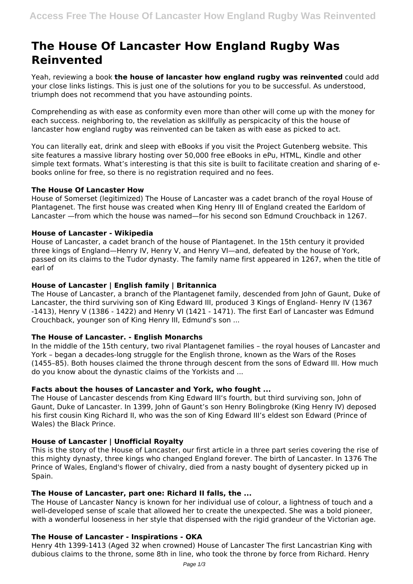# **The House Of Lancaster How England Rugby Was Reinvented**

Yeah, reviewing a book **the house of lancaster how england rugby was reinvented** could add your close links listings. This is just one of the solutions for you to be successful. As understood, triumph does not recommend that you have astounding points.

Comprehending as with ease as conformity even more than other will come up with the money for each success. neighboring to, the revelation as skillfully as perspicacity of this the house of lancaster how england rugby was reinvented can be taken as with ease as picked to act.

You can literally eat, drink and sleep with eBooks if you visit the Project Gutenberg website. This site features a massive library hosting over 50,000 free eBooks in ePu, HTML, Kindle and other simple text formats. What's interesting is that this site is built to facilitate creation and sharing of ebooks online for free, so there is no registration required and no fees.

## **The House Of Lancaster How**

House of Somerset (legitimized) The House of Lancaster was a cadet branch of the royal House of Plantagenet. The first house was created when King Henry III of England created the Earldom of Lancaster —from which the house was named—for his second son Edmund Crouchback in 1267.

#### **House of Lancaster - Wikipedia**

House of Lancaster, a cadet branch of the house of Plantagenet. In the 15th century it provided three kings of England—Henry IV, Henry V, and Henry VI—and, defeated by the house of York, passed on its claims to the Tudor dynasty. The family name first appeared in 1267, when the title of earl of

## **House of Lancaster | English family | Britannica**

The House of Lancaster, a branch of the Plantagenet family, descended from John of Gaunt, Duke of Lancaster, the third surviving son of King Edward III, produced 3 Kings of England- Henry IV (1367 -1413), Henry V (1386 - 1422) and Henry VI (1421 - 1471). The first Earl of Lancaster was Edmund Crouchback, younger son of King Henry III, Edmund's son ...

## **The House of Lancaster. - English Monarchs**

In the middle of the 15th century, two rival Plantagenet families – the royal houses of Lancaster and York – began a decades-long struggle for the English throne, known as the Wars of the Roses (1455–85). Both houses claimed the throne through descent from the sons of Edward III. How much do you know about the dynastic claims of the Yorkists and ...

## **Facts about the houses of Lancaster and York, who fought ...**

The House of Lancaster descends from King Edward III's fourth, but third surviving son, John of Gaunt, Duke of Lancaster. In 1399, John of Gaunt's son Henry Bolingbroke (King Henry IV) deposed his first cousin King Richard II, who was the son of King Edward III's eldest son Edward (Prince of Wales) the Black Prince.

## **House of Lancaster | Unofficial Royalty**

This is the story of the House of Lancaster, our first article in a three part series covering the rise of this mighty dynasty, three kings who changed England forever. The birth of Lancaster. In 1376 The Prince of Wales, England's flower of chivalry, died from a nasty bought of dysentery picked up in Spain.

#### **The House of Lancaster, part one: Richard II falls, the ...**

The House of Lancaster Nancy is known for her individual use of colour, a lightness of touch and a well-developed sense of scale that allowed her to create the unexpected. She was a bold pioneer, with a wonderful looseness in her style that dispensed with the rigid grandeur of the Victorian age.

## **The House of Lancaster - Inspirations - OKA**

Henry 4th 1399-1413 (Aged 32 when crowned) House of Lancaster The first Lancastrian King with dubious claims to the throne, some 8th in line, who took the throne by force from Richard. Henry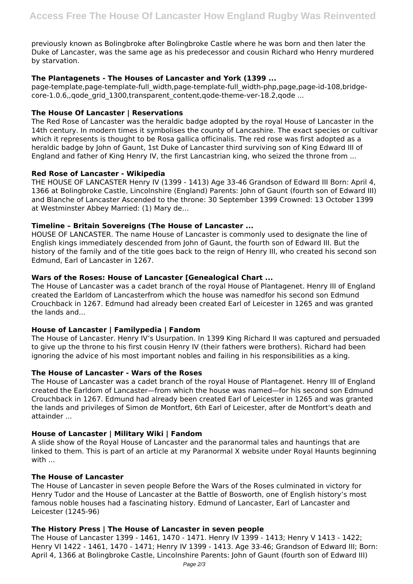previously known as Bolingbroke after Bolingbroke Castle where he was born and then later the Duke of Lancaster, was the same age as his predecessor and cousin Richard who Henry murdered by starvation.

## **The Plantagenets - The Houses of Lancaster and York (1399 ...**

page-template,page-template-full\_width,page-template-full\_width-php,page,page-id-108,bridgecore-1.0.6, gode grid 1300, transparent content, gode-theme-ver-18.2, gode ...

## **The House Of Lancaster | Reservations**

The Red Rose of Lancaster was the heraldic badge adopted by the royal House of Lancaster in the 14th century. In modern times it symbolises the county of Lancashire. The exact species or cultivar which it represents is thought to be Rosa gallica officinalis. The red rose was first adopted as a heraldic badge by John of Gaunt, 1st Duke of Lancaster third surviving son of King Edward III of England and father of King Henry IV, the first Lancastrian king, who seized the throne from ...

## **Red Rose of Lancaster - Wikipedia**

THE HOUSE OF LANCASTER Henry IV (1399 - 1413) Age 33-46 Grandson of Edward III Born: April 4, 1366 at Bolingbroke Castle, Lincolnshire (England) Parents: John of Gaunt (fourth son of Edward III) and Blanche of Lancaster Ascended to the throne: 30 September 1399 Crowned: 13 October 1399 at Westminster Abbey Married: (1) Mary de…

# **Timeline – Britain Sovereigns (The House of Lancaster ...**

HOUSE OF LANCASTER. The name House of Lancaster is commonly used to designate the line of English kings immediately descended from John of Gaunt, the fourth son of Edward III. But the history of the family and of the title goes back to the reign of Henry III, who created his second son Edmund, Earl of Lancaster in 1267.

# **Wars of the Roses: House of Lancaster [Genealogical Chart ...**

The House of Lancaster was a cadet branch of the royal House of Plantagenet. Henry III of England created the Earldom of Lancasterfrom which the house was namedfor his second son Edmund Crouchback in 1267. Edmund had already been created Earl of Leicester in 1265 and was granted the lands and...

## **House of Lancaster | Familypedia | Fandom**

The House of Lancaster. Henry IV's Usurpation. In 1399 King Richard II was captured and persuaded to give up the throne to his first cousin Henry IV (their fathers were brothers). Richard had been ignoring the advice of his most important nobles and failing in his responsibilities as a king.

## **The House of Lancaster - Wars of the Roses**

The House of Lancaster was a cadet branch of the royal House of Plantagenet. Henry III of England created the Earldom of Lancaster—from which the house was named—for his second son Edmund Crouchback in 1267. Edmund had already been created Earl of Leicester in 1265 and was granted the lands and privileges of Simon de Montfort, 6th Earl of Leicester, after de Montfort's death and attainder ...

## **House of Lancaster | Military Wiki | Fandom**

A slide show of the Royal House of Lancaster and the paranormal tales and hauntings that are linked to them. This is part of an article at my Paranormal X website under Royal Haunts beginning with ...

## **The House of Lancaster**

The House of Lancaster in seven people Before the Wars of the Roses culminated in victory for Henry Tudor and the House of Lancaster at the Battle of Bosworth, one of English history's most famous noble houses had a fascinating history. Edmund of Lancaster, Earl of Lancaster and Leicester (1245-96)

## **The History Press | The House of Lancaster in seven people**

The House of Lancaster 1399 - 1461, 1470 - 1471. Henry IV 1399 - 1413; Henry V 1413 - 1422; Henry VI 1422 - 1461, 1470 - 1471; Henry IV 1399 - 1413. Age 33-46; Grandson of Edward III; Born: April 4, 1366 at Bolingbroke Castle, Lincolnshire Parents: John of Gaunt (fourth son of Edward III)